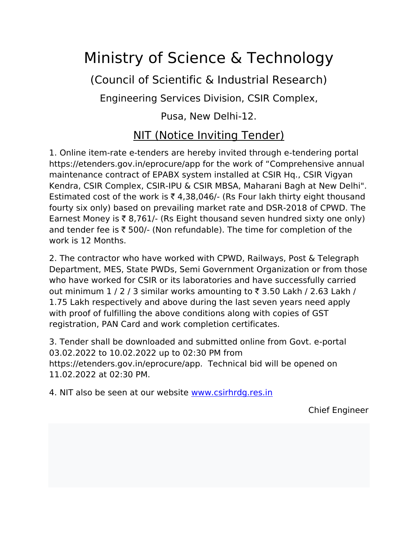## Ministry of Science & Technology

(Council of Scientific & Industrial Research)

Engineering Services Division, CSIR Complex,

Pusa, New Delhi-12.

## NIT (Notice Inviting Tender)

1. Online item-rate e-tenders are hereby invited through e-tendering portal https://etenders.gov.in/eprocure/app for the work of "Comprehensive annual maintenance contract of EPABX system installed at CSIR Hq., CSIR Vigyan Kendra, CSIR Complex, CSIR-IPU & CSIR MBSA, Maharani Bagh at New Delhi". Estimated cost of the work is  $\bar{\tau}$  4,38,046/- (Rs Four lakh thirty eight thousand fourty six only) based on prevailing market rate and DSR-2018 of CPWD. The Earnest Money is  $\bar{\tau}$  8,761/- (Rs Eight thousand seven hundred sixty one only) and tender fee is  $\bar{\tau}$  500/- (Non refundable). The time for completion of the work is 12 Months.

2. The contractor who have worked with CPWD, Railways, Post & Telegraph Department, MES, State PWDs, Semi Government Organization or from those who have worked for CSIR or its laboratories and have successfully carried out minimum  $1/2/3$  similar works amounting to  $\bar{\tau}$  3.50 Lakh / 2.63 Lakh / 1.75 Lakh respectively and above during the last seven years need apply with proof of fulfilling the above conditions along with copies of GST registration, PAN Card and work completion certificates.

3. Tender shall be downloaded and submitted online from Govt. e-portal 03.02.2022 to 10.02.2022 up to 02:30 PM from https://etenders.gov.in/eprocure/app. Technical bid will be opened on 11.02.2022 at 02:30 PM.

4. NIT also be seen at our website [www.csirhrdg.res.in](http://www.csirhrdg.res.in/)

Chief Engineer